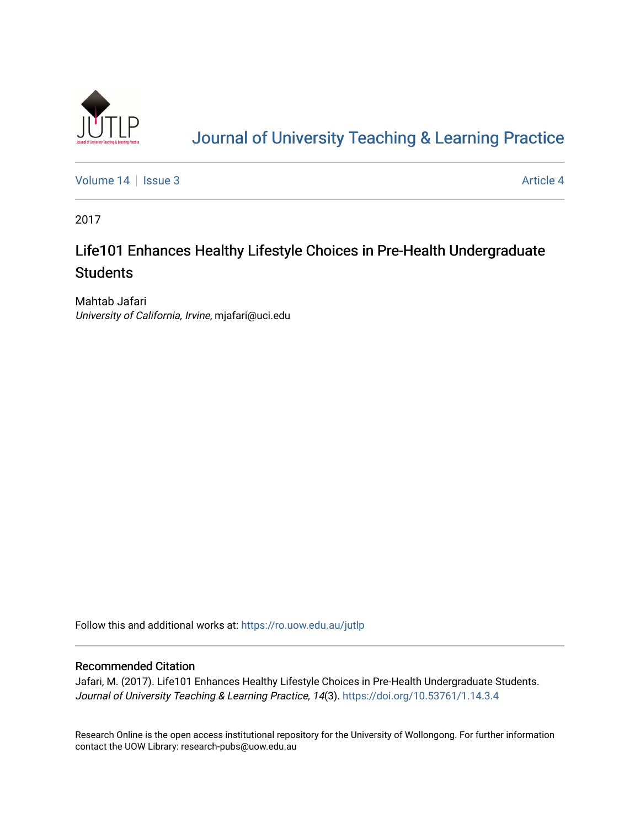

# [Journal of University Teaching & Learning Practice](https://ro.uow.edu.au/jutlp)

[Volume 14](https://ro.uow.edu.au/jutlp/vol14) | [Issue 3](https://ro.uow.edu.au/jutlp/vol14/iss3) Article 4

2017

## Life101 Enhances Healthy Lifestyle Choices in Pre-Health Undergraduate **Students**

Mahtab Jafari University of California, Irvine, mjafari@uci.edu

Follow this and additional works at: [https://ro.uow.edu.au/jutlp](https://ro.uow.edu.au/jutlp?utm_source=ro.uow.edu.au%2Fjutlp%2Fvol14%2Fiss3%2F4&utm_medium=PDF&utm_campaign=PDFCoverPages) 

## Recommended Citation

Jafari, M. (2017). Life101 Enhances Healthy Lifestyle Choices in Pre-Health Undergraduate Students. Journal of University Teaching & Learning Practice, 14(3). <https://doi.org/10.53761/1.14.3.4>

Research Online is the open access institutional repository for the University of Wollongong. For further information contact the UOW Library: research-pubs@uow.edu.au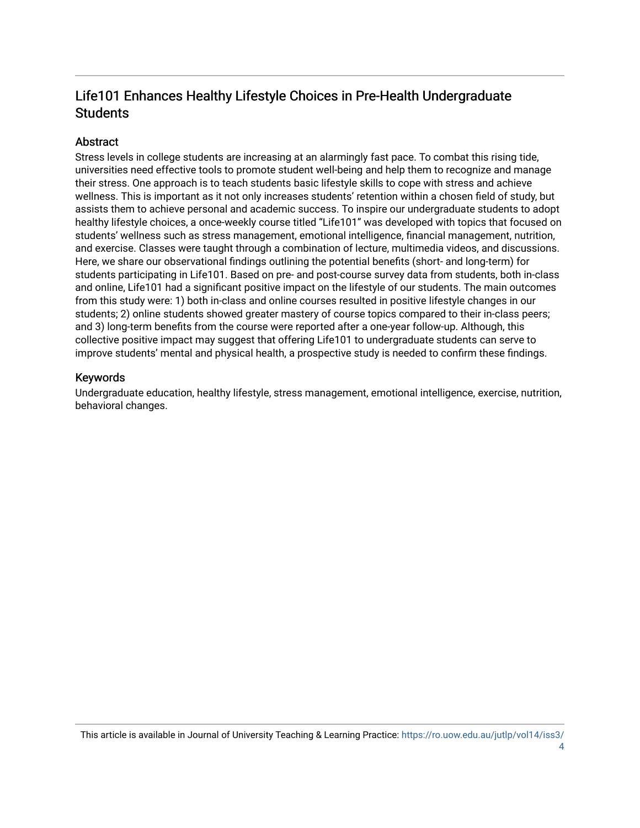## Life101 Enhances Healthy Lifestyle Choices in Pre-Health Undergraduate **Students**

## Abstract

Stress levels in college students are increasing at an alarmingly fast pace. To combat this rising tide, universities need effective tools to promote student well-being and help them to recognize and manage their stress. One approach is to teach students basic lifestyle skills to cope with stress and achieve wellness. This is important as it not only increases students' retention within a chosen field of study, but assists them to achieve personal and academic success. To inspire our undergraduate students to adopt healthy lifestyle choices, a once-weekly course titled "Life101" was developed with topics that focused on students' wellness such as stress management, emotional intelligence, financial management, nutrition, and exercise. Classes were taught through a combination of lecture, multimedia videos, and discussions. Here, we share our observational findings outlining the potential benefits (short- and long-term) for students participating in Life101. Based on pre- and post-course survey data from students, both in-class and online, Life101 had a significant positive impact on the lifestyle of our students. The main outcomes from this study were: 1) both in-class and online courses resulted in positive lifestyle changes in our students; 2) online students showed greater mastery of course topics compared to their in-class peers; and 3) long-term benefits from the course were reported after a one-year follow-up. Although, this collective positive impact may suggest that offering Life101 to undergraduate students can serve to improve students' mental and physical health, a prospective study is needed to confirm these findings.

## Keywords

Undergraduate education, healthy lifestyle, stress management, emotional intelligence, exercise, nutrition, behavioral changes.

This article is available in Journal of University Teaching & Learning Practice: [https://ro.uow.edu.au/jutlp/vol14/iss3/](https://ro.uow.edu.au/jutlp/vol14/iss3/4)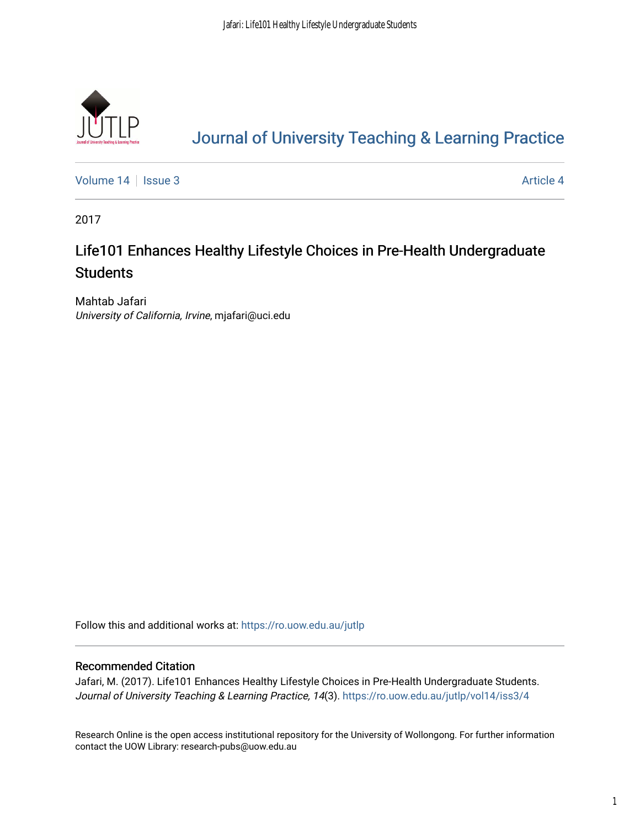

# [Journal of University Teaching & Learning Practice](https://ro.uow.edu.au/jutlp)

[Volume 14](https://ro.uow.edu.au/jutlp/vol14) | [Issue 3](https://ro.uow.edu.au/jutlp/vol14/iss3) Article 4

2017

## Life101 Enhances Healthy Lifestyle Choices in Pre-Health Undergraduate **Students**

Mahtab Jafari University of California, Irvine, mjafari@uci.edu

Follow this and additional works at: [https://ro.uow.edu.au/jutlp](https://ro.uow.edu.au/jutlp?utm_source=ro.uow.edu.au%2Fjutlp%2Fvol14%2Fiss3%2F4&utm_medium=PDF&utm_campaign=PDFCoverPages) 

## Recommended Citation

Jafari, M. (2017). Life101 Enhances Healthy Lifestyle Choices in Pre-Health Undergraduate Students. Journal of University Teaching & Learning Practice, 14(3). [https://ro.uow.edu.au/jutlp/vol14/iss3/4](https://ro.uow.edu.au/jutlp/vol14/iss3/4?utm_source=ro.uow.edu.au%2Fjutlp%2Fvol14%2Fiss3%2F4&utm_medium=PDF&utm_campaign=PDFCoverPages) 

Research Online is the open access institutional repository for the University of Wollongong. For further information contact the UOW Library: research-pubs@uow.edu.au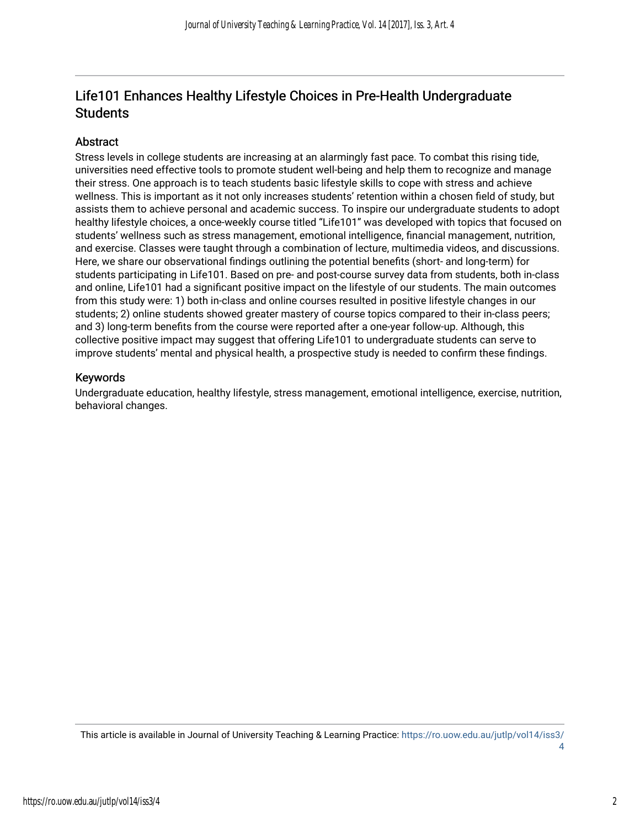## Life101 Enhances Healthy Lifestyle Choices in Pre-Health Undergraduate **Students**

## Abstract

Stress levels in college students are increasing at an alarmingly fast pace. To combat this rising tide, universities need effective tools to promote student well-being and help them to recognize and manage their stress. One approach is to teach students basic lifestyle skills to cope with stress and achieve wellness. This is important as it not only increases students' retention within a chosen field of study, but assists them to achieve personal and academic success. To inspire our undergraduate students to adopt healthy lifestyle choices, a once-weekly course titled "Life101" was developed with topics that focused on students' wellness such as stress management, emotional intelligence, financial management, nutrition, and exercise. Classes were taught through a combination of lecture, multimedia videos, and discussions. Here, we share our observational findings outlining the potential benefits (short- and long-term) for students participating in Life101. Based on pre- and post-course survey data from students, both in-class and online, Life101 had a significant positive impact on the lifestyle of our students. The main outcomes from this study were: 1) both in-class and online courses resulted in positive lifestyle changes in our students; 2) online students showed greater mastery of course topics compared to their in-class peers; and 3) long-term benefits from the course were reported after a one-year follow-up. Although, this collective positive impact may suggest that offering Life101 to undergraduate students can serve to improve students' mental and physical health, a prospective study is needed to confirm these findings.

### Keywords

Undergraduate education, healthy lifestyle, stress management, emotional intelligence, exercise, nutrition, behavioral changes.

This article is available in Journal of University Teaching & Learning Practice: [https://ro.uow.edu.au/jutlp/vol14/iss3/](https://ro.uow.edu.au/jutlp/vol14/iss3/4) [4](https://ro.uow.edu.au/jutlp/vol14/iss3/4)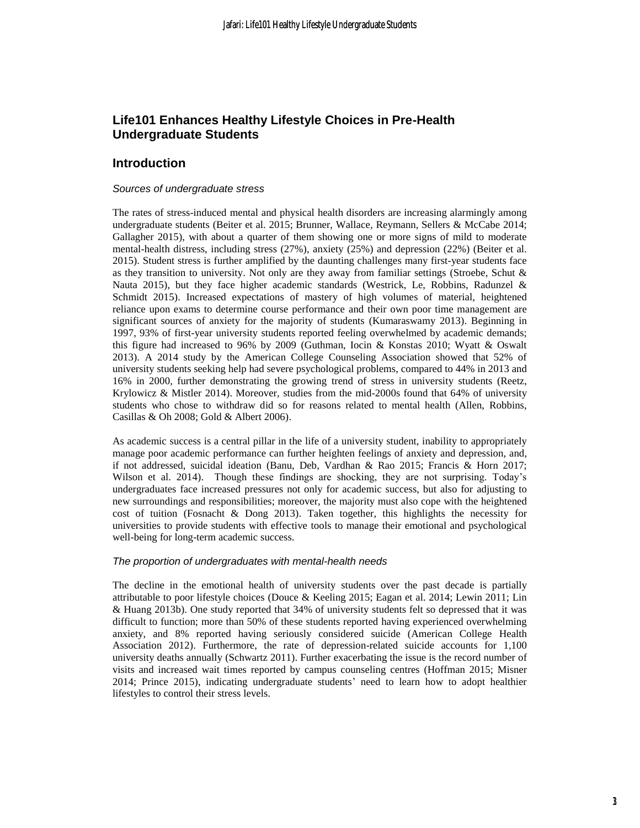## **Life101 Enhances Healthy Lifestyle Choices in Pre-Health Undergraduate Students**

## **Introduction**

#### *Sources of undergraduate stress*

The rates of stress-induced mental and physical health disorders are increasing alarmingly among undergraduate students (Beiter et al. 2015; Brunner, Wallace, Reymann, Sellers & McCabe 2014; Gallagher 2015), with about a quarter of them showing one or more signs of mild to moderate mental-health distress, including stress (27%), anxiety (25%) and depression (22%) (Beiter et al. 2015). Student stress is further amplified by the daunting challenges many first-year students face as they transition to university. Not only are they away from familiar settings (Stroebe, Schut & Nauta 2015), but they face higher academic standards (Westrick, Le, Robbins, Radunzel & Schmidt 2015). Increased expectations of mastery of high volumes of material, heightened reliance upon exams to determine course performance and their own poor time management are significant sources of anxiety for the majority of students (Kumaraswamy 2013). Beginning in 1997, 93% of first-year university students reported feeling overwhelmed by academic demands; this figure had increased to 96% by 2009 (Guthman, Iocin & Konstas 2010; Wyatt & Oswalt 2013). A 2014 study by the American College Counseling Association showed that 52% of university students seeking help had severe psychological problems, compared to 44% in 2013 and 16% in 2000, further demonstrating the growing trend of stress in university students (Reetz, Krylowicz & Mistler 2014). Moreover, studies from the mid-2000s found that 64% of university students who chose to withdraw did so for reasons related to mental health (Allen, Robbins, Casillas & Oh 2008; Gold & Albert 2006).

As academic success is a central pillar in the life of a university student, inability to appropriately manage poor academic performance can further heighten feelings of anxiety and depression, and, if not addressed, suicidal ideation (Banu, Deb, Vardhan & Rao 2015; Francis & Horn 2017; Wilson et al. 2014). Though these findings are shocking, they are not surprising. Today's undergraduates face increased pressures not only for academic success, but also for adjusting to new surroundings and responsibilities; moreover, the majority must also cope with the heightened cost of tuition (Fosnacht & Dong 2013). Taken together, this highlights the necessity for universities to provide students with effective tools to manage their emotional and psychological well-being for long-term academic success.

#### *The proportion of undergraduates with mental-health needs*

The decline in the emotional health of university students over the past decade is partially attributable to poor lifestyle choices (Douce & Keeling 2015; Eagan et al. 2014; Lewin 2011; Lin & Huang 2013b). One study reported that 34% of university students felt so depressed that it was difficult to function; more than 50% of these students reported having experienced overwhelming anxiety, and 8% reported having seriously considered suicide (American College Health Association 2012). Furthermore, the rate of depression-related suicide accounts for 1,100 university deaths annually (Schwartz 2011). Further exacerbating the issue is the record number of visits and increased wait times reported by campus counseling centres (Hoffman 2015; Misner 2014; Prince 2015), indicating undergraduate students' need to learn how to adopt healthier lifestyles to control their stress levels.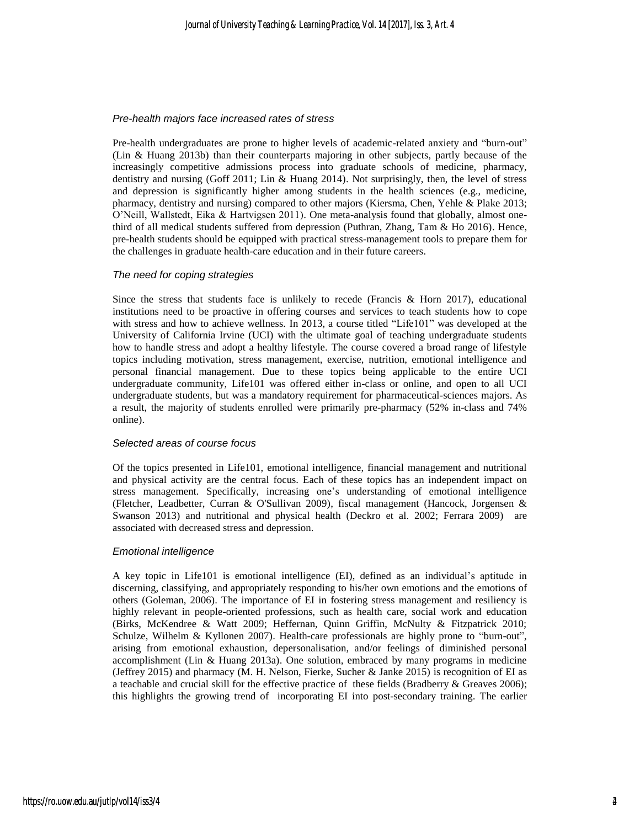#### *Pre-health majors face increased rates of stress*

Pre-health undergraduates are prone to higher levels of academic-related anxiety and "burn-out" (Lin & Huang 2013b) than their counterparts majoring in other subjects, partly because of the increasingly competitive admissions process into graduate schools of medicine, pharmacy, dentistry and nursing (Goff 2011; Lin & Huang 2014). Not surprisingly, then, the level of stress and depression is significantly higher among students in the health sciences (e.g., medicine, pharmacy, dentistry and nursing) compared to other majors (Kiersma, Chen, Yehle & Plake 2013; O'Neill, Wallstedt, Eika & Hartvigsen 2011). One meta-analysis found that globally, almost onethird of all medical students suffered from depression (Puthran, Zhang, Tam & Ho 2016). Hence, pre-health students should be equipped with practical stress-management tools to prepare them for the challenges in graduate health-care education and in their future careers.

#### *The need for coping strategies*

Since the stress that students face is unlikely to recede (Francis  $\&$  Horn 2017), educational institutions need to be proactive in offering courses and services to teach students how to cope with stress and how to achieve wellness. In 2013, a course titled "Life101" was developed at the University of California Irvine (UCI) with the ultimate goal of teaching undergraduate students how to handle stress and adopt a healthy lifestyle. The course covered a broad range of lifestyle topics including motivation, stress management, exercise, nutrition, emotional intelligence and personal financial management. Due to these topics being applicable to the entire UCI undergraduate community, Life101 was offered either in-class or online, and open to all UCI undergraduate students, but was a mandatory requirement for pharmaceutical-sciences majors. As a result, the majority of students enrolled were primarily pre-pharmacy (52% in-class and 74% online).

#### *Selected areas of course focus*

Of the topics presented in Life101, emotional intelligence, financial management and nutritional and physical activity are the central focus. Each of these topics has an independent impact on stress management. Specifically, increasing one's understanding of emotional intelligence (Fletcher, Leadbetter, Curran & O'Sullivan 2009), fiscal management (Hancock, Jorgensen & Swanson 2013) and nutritional and physical health (Deckro et al. 2002; Ferrara 2009) are associated with decreased stress and depression.

#### *Emotional intelligence*

A key topic in Life101 is emotional intelligence (EI), defined as an individual's aptitude in discerning, classifying, and appropriately responding to his/her own emotions and the emotions of others (Goleman, 2006). The importance of EI in fostering stress management and resiliency is highly relevant in people-oriented professions, such as health care, social work and education (Birks, McKendree & Watt 2009; Heffernan, Quinn Griffin, McNulty & Fitzpatrick 2010; Schulze, Wilhelm & Kyllonen 2007). Health-care professionals are highly prone to "burn-out", arising from emotional exhaustion, depersonalisation, and/or feelings of diminished personal accomplishment (Lin & Huang 2013a). One solution, embraced by many programs in medicine (Jeffrey 2015) and pharmacy (M. H. Nelson, Fierke, Sucher & Janke 2015) is recognition of EI as a teachable and crucial skill for the effective practice of these fields (Bradberry & Greaves 2006); this highlights the growing trend of incorporating EI into post-secondary training. The earlier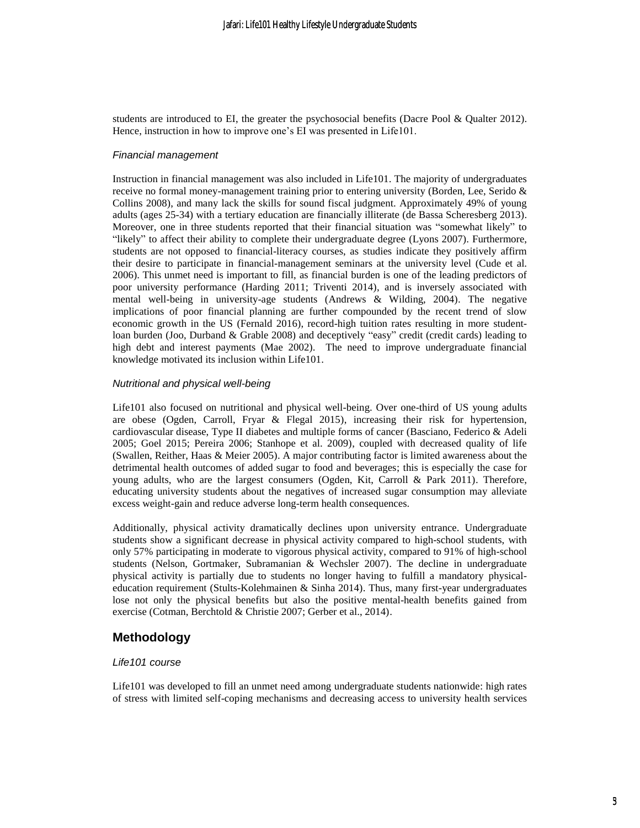students are introduced to EI, the greater the psychosocial benefits (Dacre Pool & Qualter 2012). Hence, instruction in how to improve one's EI was presented in Life101.

#### *Financial management*

Instruction in financial management was also included in Life101. The majority of undergraduates receive no formal money-management training prior to entering university (Borden, Lee, Serido & Collins 2008), and many lack the skills for sound fiscal judgment. Approximately 49% of young adults (ages 25-34) with a tertiary education are financially illiterate (de Bassa Scheresberg 2013). Moreover, one in three students reported that their financial situation was "somewhat likely" to "likely" to affect their ability to complete their undergraduate degree (Lyons 2007). Furthermore, students are not opposed to financial-literacy courses, as studies indicate they positively affirm their desire to participate in financial-management seminars at the university level (Cude et al. 2006). This unmet need is important to fill, as financial burden is one of the leading predictors of poor university performance (Harding 2011; Triventi 2014), and is inversely associated with mental well-being in university-age students (Andrews & Wilding, 2004). The negative implications of poor financial planning are further compounded by the recent trend of slow economic growth in the US (Fernald 2016), record-high tuition rates resulting in more studentloan burden (Joo, Durband & Grable 2008) and deceptively "easy" credit (credit cards) leading to high debt and interest payments (Mae 2002). The need to improve undergraduate financial knowledge motivated its inclusion within Life101.

#### *Nutritional and physical well-being*

Life101 also focused on nutritional and physical well-being. Over one-third of US young adults are obese (Ogden, Carroll, Fryar & Flegal 2015), increasing their risk for hypertension, cardiovascular disease, Type II diabetes and multiple forms of cancer (Basciano, Federico & Adeli 2005; Goel 2015; Pereira 2006; Stanhope et al. 2009), coupled with decreased quality of life (Swallen, Reither, Haas & Meier 2005). A major contributing factor is limited awareness about the detrimental health outcomes of added sugar to food and beverages; this is especially the case for young adults, who are the largest consumers (Ogden, Kit, Carroll & Park 2011). Therefore, educating university students about the negatives of increased sugar consumption may alleviate excess weight-gain and reduce adverse long-term health consequences.

Additionally, physical activity dramatically declines upon university entrance. Undergraduate students show a significant decrease in physical activity compared to high-school students, with only 57% participating in moderate to vigorous physical activity, compared to 91% of high-school students (Nelson, Gortmaker, Subramanian & Wechsler 2007). The decline in undergraduate physical activity is partially due to students no longer having to fulfill a mandatory physicaleducation requirement (Stults-Kolehmainen & Sinha 2014). Thus, many first-year undergraduates lose not only the physical benefits but also the positive mental-health benefits gained from exercise (Cotman, Berchtold & Christie 2007; Gerber et al., 2014).

## **Methodology**

#### *Life101 course*

Life101 was developed to fill an unmet need among undergraduate students nationwide: high rates of stress with limited self-coping mechanisms and decreasing access to university health services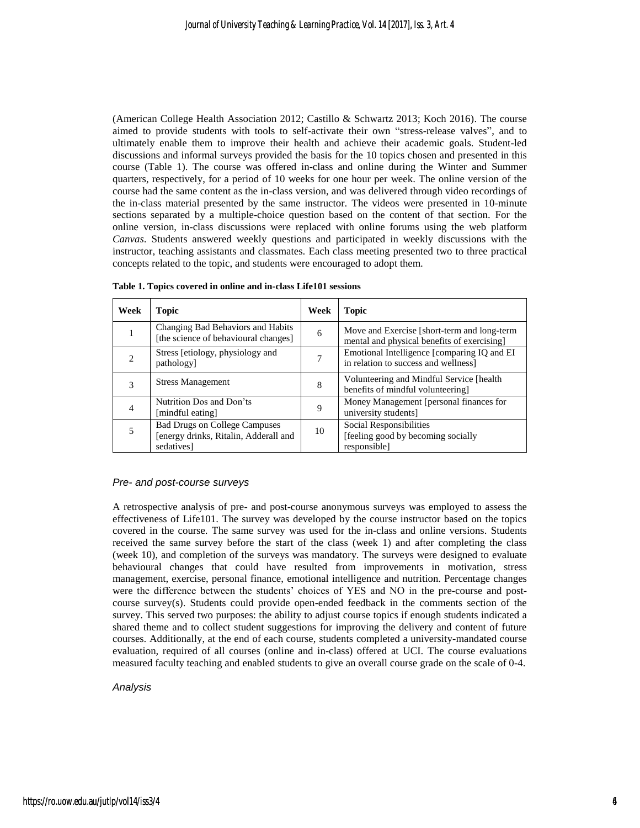(American College Health Association 2012; Castillo & Schwartz 2013; Koch 2016). The course aimed to provide students with tools to self-activate their own "stress-release valves", and to ultimately enable them to improve their health and achieve their academic goals. Student-led discussions and informal surveys provided the basis for the 10 topics chosen and presented in this course (Table 1). The course was offered in-class and online during the Winter and Summer quarters, respectively, for a period of 10 weeks for one hour per week. The online version of the course had the same content as the in-class version, and was delivered through video recordings of the in-class material presented by the same instructor. The videos were presented in 10-minute sections separated by a multiple-choice question based on the content of that section. For the online version, in-class discussions were replaced with online forums using the web platform *Canvas*. Students answered weekly questions and participated in weekly discussions with the instructor, teaching assistants and classmates. Each class meeting presented two to three practical concepts related to the topic, and students were encouraged to adopt them.

| Week | <b>Topic</b>                                                                                | Week | <b>Topic</b>                                                                               |
|------|---------------------------------------------------------------------------------------------|------|--------------------------------------------------------------------------------------------|
|      | Changing Bad Behaviors and Habits<br>[the science of behavioural changes]                   | 6    | Move and Exercise [short-term and long-term<br>mental and physical benefits of exercising] |
|      | Stress [etiology, physiology and<br>pathology]                                              |      | Emotional Intelligence [comparing IQ and EI<br>in relation to success and wellness]        |
| 3    | <b>Stress Management</b>                                                                    | 8    | Volunteering and Mindful Service [health]<br>benefits of mindful volunteering]             |
| 4    | Nutrition Dos and Don'ts<br>[mindful eating]                                                | 9    | Money Management [personal finances for<br>university students]                            |
| 5    | <b>Bad Drugs on College Campuses</b><br>[energy drinks, Ritalin, Adderall and<br>sedatives] | 10   | Social Responsibilities<br>[feeling good by becoming socially]<br><i>responsible]</i>      |

**Table 1. Topics covered in online and in-class Life101 sessions**

#### *Pre- and post-course surveys*

A retrospective analysis of pre- and post-course anonymous surveys was employed to assess the effectiveness of Life101. The survey was developed by the course instructor based on the topics covered in the course. The same survey was used for the in-class and online versions. Students received the same survey before the start of the class (week 1) and after completing the class (week 10), and completion of the surveys was mandatory. The surveys were designed to evaluate behavioural changes that could have resulted from improvements in motivation, stress management, exercise, personal finance, emotional intelligence and nutrition. Percentage changes were the difference between the students' choices of YES and NO in the pre-course and postcourse survey(s). Students could provide open-ended feedback in the comments section of the survey. This served two purposes: the ability to adjust course topics if enough students indicated a shared theme and to collect student suggestions for improving the delivery and content of future courses. Additionally, at the end of each course, students completed a university-mandated course evaluation, required of all courses (online and in-class) offered at UCI. The course evaluations measured faculty teaching and enabled students to give an overall course grade on the scale of 0-4.

#### *Analysis*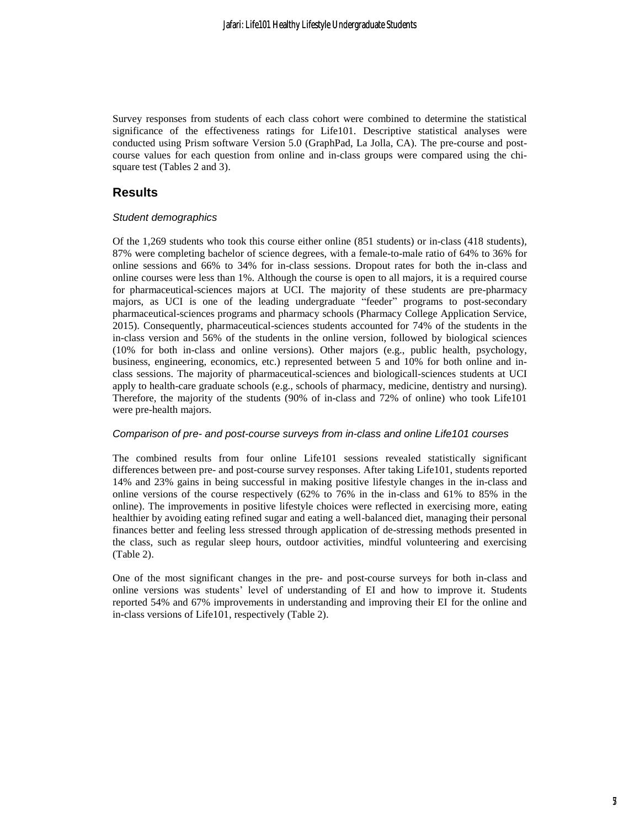Survey responses from students of each class cohort were combined to determine the statistical significance of the effectiveness ratings for Life101. Descriptive statistical analyses were conducted using Prism software Version 5.0 (GraphPad, La Jolla, CA). The pre-course and postcourse values for each question from online and in-class groups were compared using the chisquare test (Tables 2 and 3).

## **Results**

#### *Student demographics*

Of the 1,269 students who took this course either online (851 students) or in-class (418 students), 87% were completing bachelor of science degrees, with a female-to-male ratio of 64% to 36% for online sessions and 66% to 34% for in-class sessions. Dropout rates for both the in-class and online courses were less than 1%. Although the course is open to all majors, it is a required course for pharmaceutical-sciences majors at UCI. The majority of these students are pre-pharmacy majors, as UCI is one of the leading undergraduate "feeder" programs to post-secondary pharmaceutical-sciences programs and pharmacy schools (Pharmacy College Application Service, 2015). Consequently, pharmaceutical-sciences students accounted for 74% of the students in the in-class version and 56% of the students in the online version, followed by biological sciences (10% for both in-class and online versions). Other majors (e.g., public health, psychology, business, engineering, economics, etc.) represented between 5 and 10% for both online and inclass sessions. The majority of pharmaceutical-sciences and biologicall-sciences students at UCI apply to health-care graduate schools (e.g., schools of pharmacy, medicine, dentistry and nursing). Therefore, the majority of the students (90% of in-class and 72% of online) who took Life101 were pre-health majors.

#### *Comparison of pre- and post-course surveys from in-class and online Life101 courses*

The combined results from four online Life101 sessions revealed statistically significant differences between pre- and post-course survey responses. After taking Life101, students reported 14% and 23% gains in being successful in making positive lifestyle changes in the in-class and online versions of the course respectively (62% to 76% in the in-class and 61% to 85% in the online). The improvements in positive lifestyle choices were reflected in exercising more, eating healthier by avoiding eating refined sugar and eating a well-balanced diet, managing their personal finances better and feeling less stressed through application of de-stressing methods presented in the class, such as regular sleep hours, outdoor activities, mindful volunteering and exercising (Table 2).

One of the most significant changes in the pre- and post-course surveys for both in-class and online versions was students' level of understanding of EI and how to improve it. Students reported 54% and 67% improvements in understanding and improving their EI for the online and in-class versions of Life101, respectively (Table 2).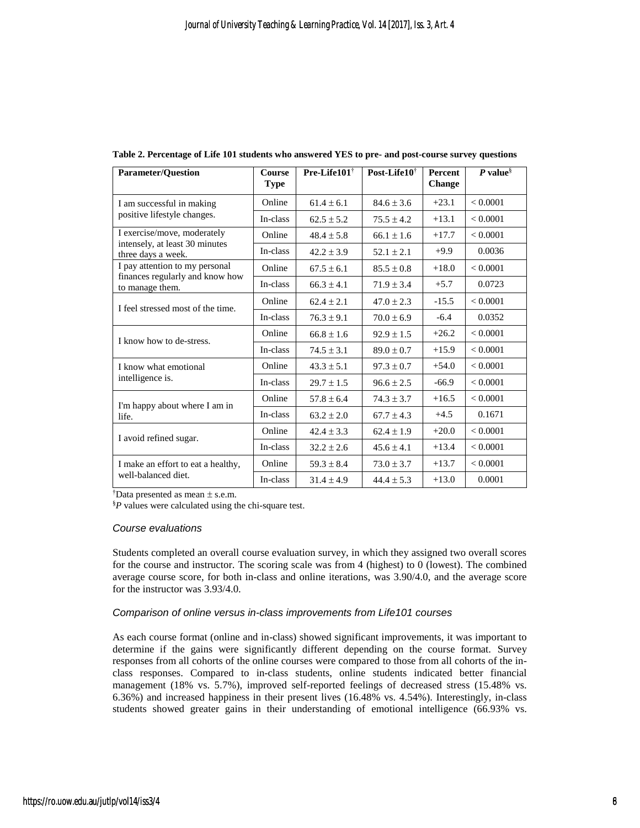| <b>Parameter/Question</b>                            | <b>Course</b><br><b>Type</b> | Pre-Life101 <sup>†</sup>         | Post-Life10 <sup>†</sup> | <b>Percent</b><br>Change | P value $\delta$ |
|------------------------------------------------------|------------------------------|----------------------------------|--------------------------|--------------------------|------------------|
| I am successful in making                            | Online                       | $61.4 \pm 6.1$                   | $84.6 \pm 3.6$           | $+23.1$                  | < 0.0001         |
| positive lifestyle changes.                          | In-class                     | $62.5 \pm 5.2$                   | $75.5 \pm 4.2$           | $+13.1$                  | < 0.0001         |
| I exercise/move, moderately                          | Online                       | $48.4 \pm 5.8$                   | $66.1 \pm 1.6$           | $+17.7$                  | < 0.0001         |
| intensely, at least 30 minutes<br>three days a week. | In-class                     | $42.2 \pm 3.9$                   | $52.1 \pm 2.1$           | $+9.9$                   | 0.0036           |
| I pay attention to my personal                       | Online                       | $67.5 \pm 6.1$                   | $85.5 \pm 0.8$           | $+18.0$                  | < 0.0001         |
| finances regularly and know how<br>to manage them.   | In-class                     | $66.3 \pm 4.1$                   | $71.9 \pm 3.4$           | $+5.7$                   | 0.0723           |
| I feel stressed most of the time.                    | Online                       | $62.4 \pm 2.1$                   | $47.0 \pm 2.3$           | $-15.5$                  | < 0.0001         |
|                                                      | In-class                     | $76.3 \pm 9.1$                   | $70.0 \pm 6.9$           | $-6.4$                   | 0.0352           |
| I know how to de-stress.                             | Online                       | $66.8 \pm 1.6$                   | $92.9 \pm 1.5$           | $+26.2$                  | < 0.0001         |
|                                                      | In-class                     | $74.5 \pm 3.1$<br>$89.0 \pm 0.7$ |                          | $+15.9$                  | < 0.0001         |
| I know what emotional                                | Online                       | $43.3 \pm 5.1$                   | $97.3 \pm 0.7$           | $+54.0$                  | < 0.0001         |
| intelligence is.                                     | In-class                     | $29.7 \pm 1.5$                   | $96.6 \pm 2.5$           | $-66.9$                  | < 0.0001         |
| I'm happy about where I am in                        | Online                       | $57.8 \pm 6.4$                   | $74.3 \pm 3.7$           | $+16.5$                  | < 0.0001         |
| life.                                                | In-class                     | $63.2 \pm 2.0$                   | $67.7 \pm 4.3$           | $+4.5$                   | 0.1671           |
| I avoid refined sugar.                               | Online                       | $42.4 \pm 3.3$                   | $62.4 \pm 1.9$           | $+20.0$                  | < 0.0001         |
|                                                      | In-class                     | $32.2 \pm 2.6$                   | $45.6 \pm 4.1$           | $+13.4$                  | < 0.0001         |
| I make an effort to eat a healthy,                   | Online                       | $59.3 \pm 8.4$                   | $73.0 \pm 3.7$           | $+13.7$                  | < 0.0001         |
| well-balanced diet.                                  | In-class                     | $31.4 \pm 4.9$                   | $44.4 \pm 5.3$           | $+13.0$                  | 0.0001           |

**Table 2. Percentage of Life 101 students who answered YES to pre- and post-course survey questions**

<sup>†</sup>Data presented as mean  $\pm$  s.e.m.

§*P* values were calculated using the chi-square test.

#### *Course evaluations*

Students completed an overall course evaluation survey, in which they assigned two overall scores for the course and instructor. The scoring scale was from 4 (highest) to 0 (lowest). The combined average course score, for both in-class and online iterations, was 3.90/4.0, and the average score for the instructor was 3.93/4.0.

#### *Comparison of online versus in-class improvements from Life101 courses*

As each course format (online and in-class) showed significant improvements, it was important to determine if the gains were significantly different depending on the course format. Survey responses from all cohorts of the online courses were compared to those from all cohorts of the inclass responses. Compared to in-class students, online students indicated better financial management (18% vs. 5.7%), improved self-reported feelings of decreased stress (15.48% vs. 6.36%) and increased happiness in their present lives (16.48% vs. 4.54%). Interestingly, in-class students showed greater gains in their understanding of emotional intelligence (66.93% vs.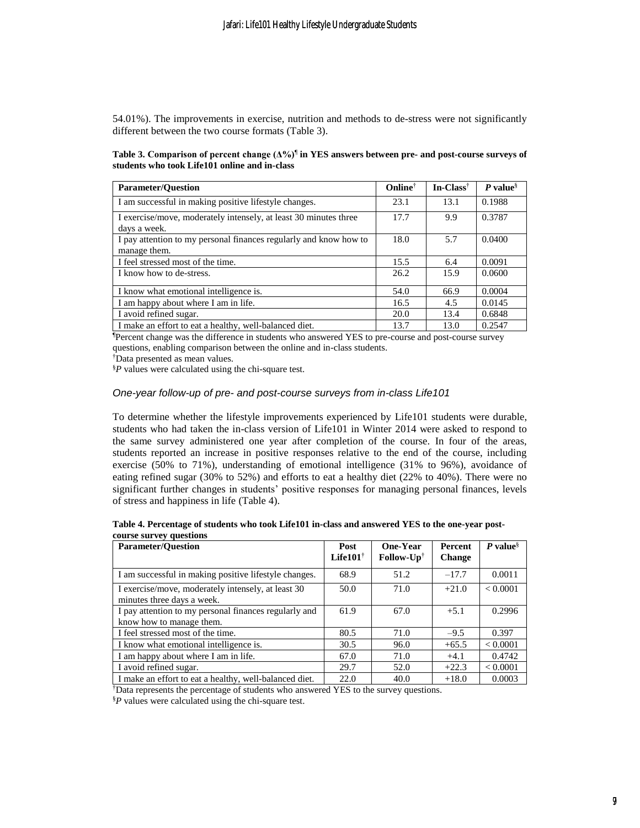54.01%). The improvements in exercise, nutrition and methods to de-stress were not significantly different between the two course formats (Table 3).

**Table 3. Comparison of percent change (Δ%)**¶ **in YES answers between pre- and post-course surveys of students who took Life101 online and in-class**

| <b>Parameter/Question</b>                                                        | <b>Online</b> <sup>†</sup> | $In-Class^{\dagger}$ | $P value§$ |
|----------------------------------------------------------------------------------|----------------------------|----------------------|------------|
| I am successful in making positive lifestyle changes.                            | 23.1                       | 13.1                 | 0.1988     |
| I exercise/move, moderately intensely, at least 30 minutes three<br>days a week. | 17.7                       | 9.9                  | 0.3787     |
| I pay attention to my personal finances regularly and know how to                | 18.0                       | 5.7                  | 0.0400     |
| manage them.                                                                     |                            |                      |            |
| I feel stressed most of the time.                                                | 15.5                       | 6.4                  | 0.0091     |
| I know how to de-stress.                                                         | 26.2                       | 15.9                 | 0.0600     |
| I know what emotional intelligence is.                                           | 54.0                       | 66.9                 | 0.0004     |
| I am happy about where I am in life.                                             | 16.5                       | 4.5                  | 0.0145     |
| I avoid refined sugar.                                                           | 20.0                       | 13.4                 | 0.6848     |
| I make an effort to eat a healthy, well-balanced diet.                           | 13.7                       | 13.0                 | 0.2547     |

¶Percent change was the difference in students who answered YES to pre-course and post-course survey questions, enabling comparison between the online and in-class students.

†Data presented as mean values.

§*P* values were calculated using the chi-square test.

#### *One-year follow-up of pre- and post-course surveys from in-class Life101*

To determine whether the lifestyle improvements experienced by Life101 students were durable, students who had taken the in-class version of Life101 in Winter 2014 were asked to respond to the same survey administered one year after completion of the course. In four of the areas, students reported an increase in positive responses relative to the end of the course, including exercise (50% to 71%), understanding of emotional intelligence (31% to 96%), avoidance of eating refined sugar (30% to 52%) and efforts to eat a healthy diet (22% to 40%). There were no significant further changes in students' positive responses for managing personal finances, levels of stress and happiness in life (Table 4).

| Table 4. Percentage of students who took Life101 in-class and answered YES to the one-year post- |  |  |
|--------------------------------------------------------------------------------------------------|--|--|
| course survey questions                                                                          |  |  |

| <b>Parameter/Ouestion</b>                                                         | Post<br>Life101 $^{\dagger}$ | One-Year<br>$\text{Follow-}Up^{\dagger}$ | <b>Percent</b><br><b>Change</b> | P value <sup>§</sup> |
|-----------------------------------------------------------------------------------|------------------------------|------------------------------------------|---------------------------------|----------------------|
| I am successful in making positive lifestyle changes.                             | 68.9                         | 51.2                                     | $-17.7$                         | 0.0011               |
| I exercise/move, moderately intensely, at least 30<br>minutes three days a week.  | 50.0                         | 71.0                                     | $+21.0$                         | < 0.0001             |
| I pay attention to my personal finances regularly and<br>know how to manage them. | 61.9                         | 67.0                                     | $+5.1$                          | 0.2996               |
| I feel stressed most of the time.                                                 | 80.5                         | 71.0                                     | $-9.5$                          | 0.397                |
| I know what emotional intelligence is.                                            | 30.5                         | 96.0                                     | $+65.5$                         | < 0.0001             |
| I am happy about where I am in life.                                              | 67.0                         | 71.0                                     | $+4.1$                          | 0.4742               |
| I avoid refined sugar.                                                            | 29.7                         | 52.0                                     | $+22.3$                         | < 0.0001             |
| I make an effort to eat a healthy, well-balanced diet.                            | 22.0                         | 40.0                                     | $+18.0$                         | 0.0003               |

†Data represents the percentage of students who answered YES to the survey questions.

§*P* values were calculated using the chi-square test.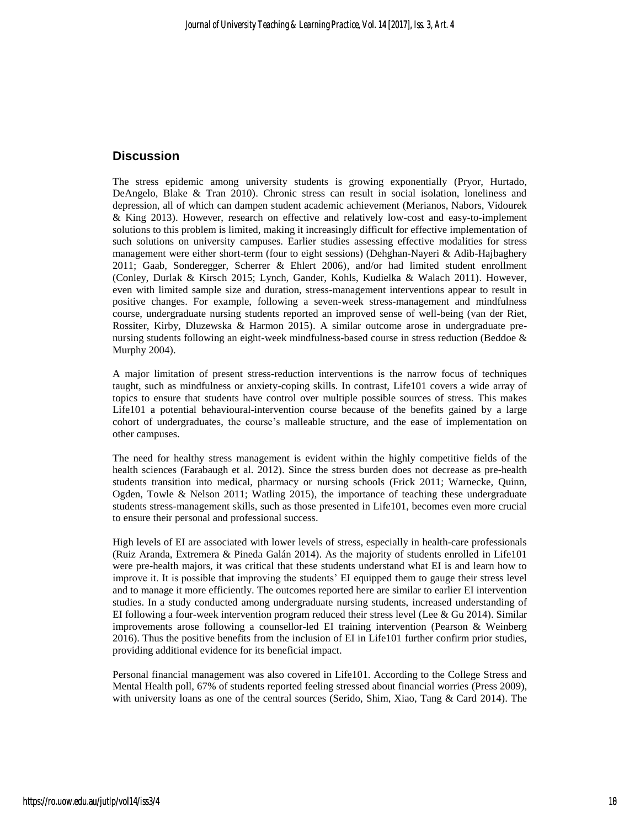## **Discussion**

The stress epidemic among university students is growing exponentially (Pryor, Hurtado, DeAngelo, Blake & Tran 2010). Chronic stress can result in social isolation, loneliness and depression, all of which can dampen student academic achievement (Merianos, Nabors, Vidourek & King 2013). However, research on effective and relatively low-cost and easy-to-implement solutions to this problem is limited, making it increasingly difficult for effective implementation of such solutions on university campuses. Earlier studies assessing effective modalities for stress management were either short-term (four to eight sessions) (Dehghan-Nayeri & Adib-Hajbaghery 2011; Gaab, Sonderegger, Scherrer & Ehlert 2006), and/or had limited student enrollment (Conley, Durlak & Kirsch 2015; Lynch, Gander, Kohls, Kudielka & Walach 2011). However, even with limited sample size and duration, stress-management interventions appear to result in positive changes. For example, following a seven-week stress-management and mindfulness course, undergraduate nursing students reported an improved sense of well-being (van der Riet, Rossiter, Kirby, Dluzewska & Harmon 2015). A similar outcome arose in undergraduate prenursing students following an eight-week mindfulness-based course in stress reduction (Beddoe & Murphy 2004).

A major limitation of present stress-reduction interventions is the narrow focus of techniques taught, such as mindfulness or anxiety-coping skills. In contrast, Life101 covers a wide array of topics to ensure that students have control over multiple possible sources of stress. This makes Life101 a potential behavioural-intervention course because of the benefits gained by a large cohort of undergraduates, the course's malleable structure, and the ease of implementation on other campuses.

The need for healthy stress management is evident within the highly competitive fields of the health sciences (Farabaugh et al. 2012). Since the stress burden does not decrease as pre-health students transition into medical, pharmacy or nursing schools (Frick 2011; Warnecke, Quinn, Ogden, Towle & Nelson 2011; Watling 2015), the importance of teaching these undergraduate students stress-management skills, such as those presented in Life101, becomes even more crucial to ensure their personal and professional success.

High levels of EI are associated with lower levels of stress, especially in health-care professionals (Ruiz Aranda, Extremera & Pineda Galán 2014). As the majority of students enrolled in Life101 were pre-health majors, it was critical that these students understand what EI is and learn how to improve it. It is possible that improving the students' EI equipped them to gauge their stress level and to manage it more efficiently. The outcomes reported here are similar to earlier EI intervention studies. In a study conducted among undergraduate nursing students, increased understanding of EI following a four-week intervention program reduced their stress level (Lee & Gu 2014). Similar improvements arose following a counsellor-led EI training intervention (Pearson & Weinberg 2016). Thus the positive benefits from the inclusion of EI in Life101 further confirm prior studies, providing additional evidence for its beneficial impact.

Personal financial management was also covered in Life101. According to the College Stress and Mental Health poll, 67% of students reported feeling stressed about financial worries (Press 2009), with university loans as one of the central sources (Serido, Shim, Xiao, Tang & Card 2014). The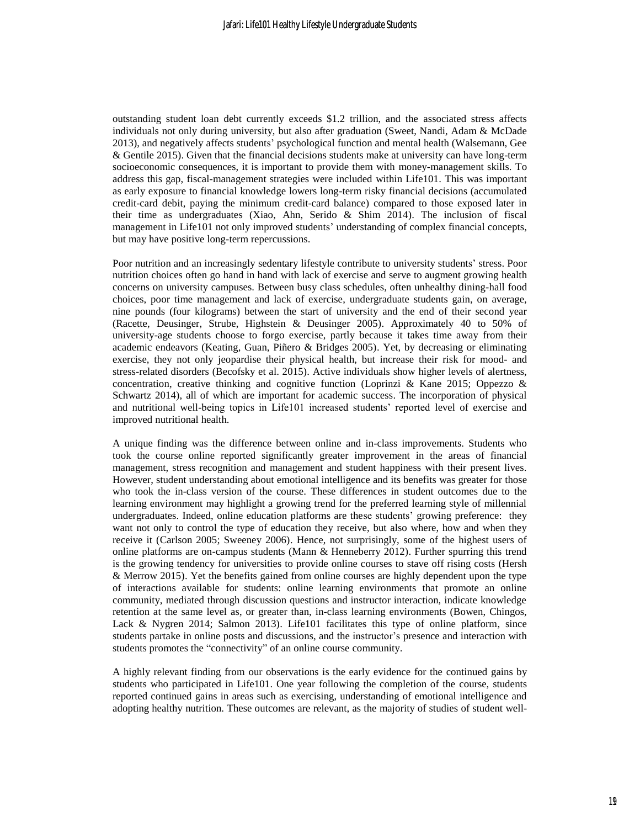outstanding student loan debt currently exceeds \$1.2 trillion, and the associated stress affects individuals not only during university, but also after graduation (Sweet, Nandi, Adam & McDade 2013), and negatively affects students' psychological function and mental health (Walsemann, Gee & Gentile 2015). Given that the financial decisions students make at university can have long-term socioeconomic consequences, it is important to provide them with money-management skills. To address this gap, fiscal-management strategies were included within Life101. This was important as early exposure to financial knowledge lowers long-term risky financial decisions (accumulated credit-card debit, paying the minimum credit-card balance) compared to those exposed later in their time as undergraduates (Xiao, Ahn, Serido & Shim 2014). The inclusion of fiscal management in Life101 not only improved students' understanding of complex financial concepts, but may have positive long-term repercussions.

Poor nutrition and an increasingly sedentary lifestyle contribute to university students' stress. Poor nutrition choices often go hand in hand with lack of exercise and serve to augment growing health concerns on university campuses. Between busy class schedules, often unhealthy dining-hall food choices, poor time management and lack of exercise, undergraduate students gain, on average, nine pounds (four kilograms) between the start of university and the end of their second year (Racette, Deusinger, Strube, Highstein & Deusinger 2005). Approximately 40 to 50% of university-age students choose to forgo exercise, partly because it takes time away from their academic endeavors (Keating, Guan, Piñero & Bridges 2005). Yet, by decreasing or eliminating exercise, they not only jeopardise their physical health, but increase their risk for mood- and stress-related disorders (Becofsky et al. 2015). Active individuals show higher levels of alertness, concentration, creative thinking and cognitive function (Loprinzi & Kane 2015; Oppezzo  $\&$ Schwartz 2014), all of which are important for academic success. The incorporation of physical and nutritional well-being topics in Life101 increased students' reported level of exercise and improved nutritional health.

A unique finding was the difference between online and in-class improvements. Students who took the course online reported significantly greater improvement in the areas of financial management, stress recognition and management and student happiness with their present lives. However, student understanding about emotional intelligence and its benefits was greater for those who took the in-class version of the course. These differences in student outcomes due to the learning environment may highlight a growing trend for the preferred learning style of millennial undergraduates. Indeed, online education platforms are these students' growing preference: they want not only to control the type of education they receive, but also where, how and when they receive it (Carlson 2005; Sweeney 2006). Hence, not surprisingly, some of the highest users of online platforms are on-campus students (Mann & Henneberry 2012). Further spurring this trend is the growing tendency for universities to provide online courses to stave off rising costs (Hersh & Merrow 2015). Yet the benefits gained from online courses are highly dependent upon the type of interactions available for students: online learning environments that promote an online community, mediated through discussion questions and instructor interaction, indicate knowledge retention at the same level as, or greater than, in-class learning environments (Bowen, Chingos, Lack & Nygren 2014; Salmon 2013). Life101 facilitates this type of online platform, since students partake in online posts and discussions, and the instructor's presence and interaction with students promotes the "connectivity" of an online course community.

A highly relevant finding from our observations is the early evidence for the continued gains by students who participated in Life101. One year following the completion of the course, students reported continued gains in areas such as exercising, understanding of emotional intelligence and adopting healthy nutrition. These outcomes are relevant, as the majority of studies of student well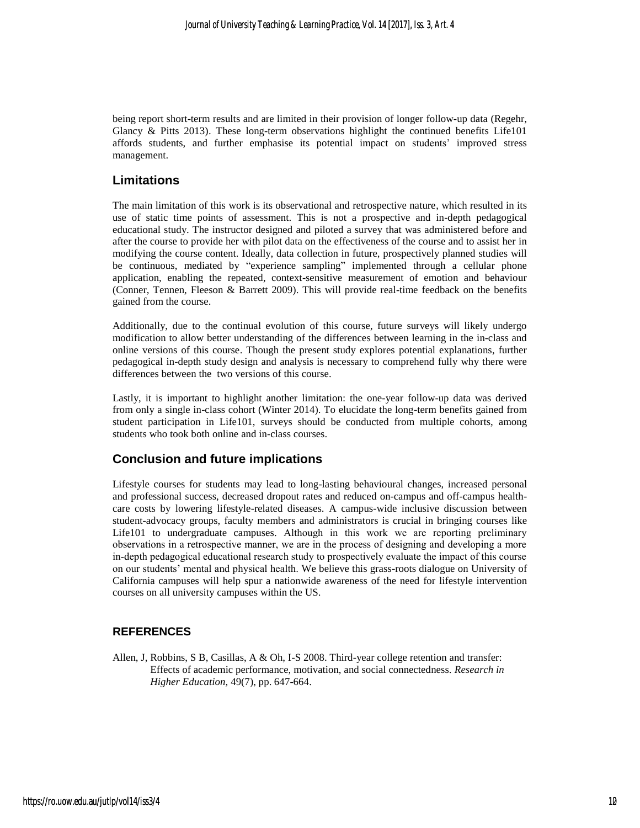being report short-term results and are limited in their provision of longer follow-up data (Regehr, Glancy & Pitts 2013). These long-term observations highlight the continued benefits Life101 affords students, and further emphasise its potential impact on students' improved stress management.

## **Limitations**

The main limitation of this work is its observational and retrospective nature, which resulted in its use of static time points of assessment. This is not a prospective and in-depth pedagogical educational study. The instructor designed and piloted a survey that was administered before and after the course to provide her with pilot data on the effectiveness of the course and to assist her in modifying the course content. Ideally, data collection in future, prospectively planned studies will be continuous, mediated by "experience sampling" implemented through a cellular phone application, enabling the repeated, context-sensitive measurement of emotion and behaviour (Conner, Tennen, Fleeson & Barrett 2009). This will provide real-time feedback on the benefits gained from the course.

Additionally, due to the continual evolution of this course, future surveys will likely undergo modification to allow better understanding of the differences between learning in the in-class and online versions of this course. Though the present study explores potential explanations, further pedagogical in-depth study design and analysis is necessary to comprehend fully why there were differences between the two versions of this course.

Lastly, it is important to highlight another limitation: the one-year follow-up data was derived from only a single in-class cohort (Winter 2014). To elucidate the long-term benefits gained from student participation in Life101, surveys should be conducted from multiple cohorts, among students who took both online and in-class courses.

### **Conclusion and future implications**

Lifestyle courses for students may lead to long-lasting behavioural changes, increased personal and professional success, decreased dropout rates and reduced on-campus and off-campus healthcare costs by lowering lifestyle-related diseases. A campus-wide inclusive discussion between student-advocacy groups, faculty members and administrators is crucial in bringing courses like Life101 to undergraduate campuses. Although in this work we are reporting preliminary observations in a retrospective manner, we are in the process of designing and developing a more in-depth pedagogical educational research study to prospectively evaluate the impact of this course on our students' mental and physical health. We believe this grass-roots dialogue on University of California campuses will help spur a nationwide awareness of the need for lifestyle intervention courses on all university campuses within the US.

### **REFERENCES**

Allen, J, Robbins, S B, Casillas, A & Oh, I-S 2008. Third-year college retention and transfer: Effects of academic performance, motivation, and social connectedness. *Research in Higher Education,* 49(7), pp. 647-664.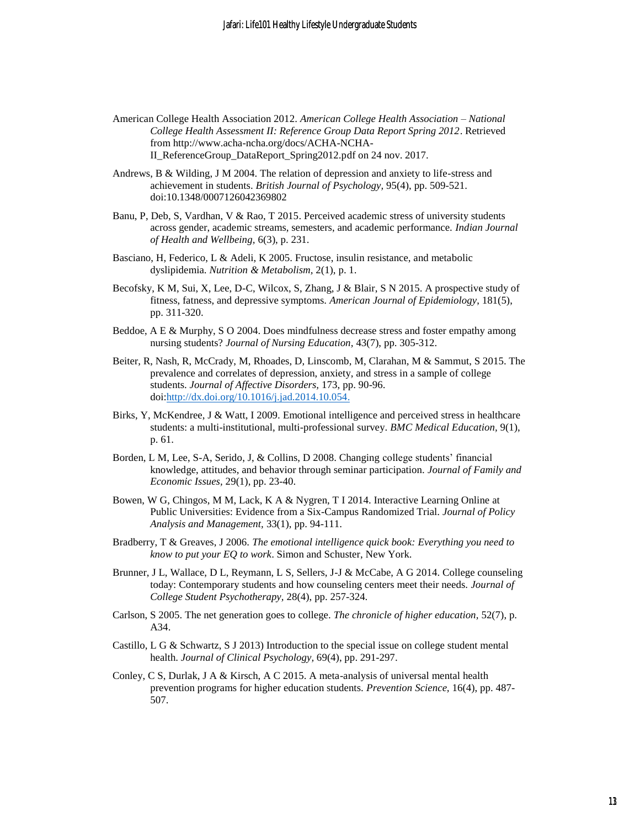- American College Health Association 2012. *American College Health Association – National College Health Assessment II: Reference Group Data Report Spring 2012*. Retrieved from http://www.acha-ncha.org/docs/ACHA-NCHA-II\_ReferenceGroup\_DataReport\_Spring2012.pdf on 24 nov. 2017.
- Andrews, B & Wilding, J M 2004. The relation of depression and anxiety to life-stress and achievement in students. *British Journal of Psychology,* 95(4), pp. 509-521. doi:10.1348/0007126042369802
- Banu, P, Deb, S, Vardhan, V & Rao, T 2015. Perceived academic stress of university students across gender, academic streams, semesters, and academic performance. *Indian Journal of Health and Wellbeing,* 6(3), p. 231.
- Basciano, H, Federico, L & Adeli, K 2005. Fructose, insulin resistance, and metabolic dyslipidemia. *Nutrition & Metabolism,* 2(1), p. 1.
- Becofsky, K M, Sui, X, Lee, D-C, Wilcox, S, Zhang, J & Blair, S N 2015. A prospective study of fitness, fatness, and depressive symptoms. *American Journal of Epidemiology*, 181(5), pp. 311-320.
- Beddoe, A E & Murphy, S O 2004. Does mindfulness decrease stress and foster empathy among nursing students? *Journal of Nursing Education,* 43(7), pp. 305-312.
- Beiter, R, Nash, R, McCrady, M, Rhoades, D, Linscomb, M, Clarahan, M & Sammut, S 2015. The prevalence and correlates of depression, anxiety, and stress in a sample of college students. *Journal of Affective Disorders,* 173, pp. 90-96. doi[:http://dx.doi.org/10.1016/j.jad.2014.10.054.](http://dx.doi.org/10.1016/j.jad.2014.10.054)
- Birks, Y, McKendree, J & Watt, I 2009. Emotional intelligence and perceived stress in healthcare students: a multi-institutional, multi-professional survey. *BMC Medical Education,* 9(1), p. 61.
- Borden, L M, Lee, S-A, Serido, J, & Collins, D 2008. Changing college students' financial knowledge, attitudes, and behavior through seminar participation. *Journal of Family and Economic Issues,* 29(1), pp. 23-40.
- Bowen, W G, Chingos, M M, Lack, K A & Nygren, T I 2014. Interactive Learning Online at Public Universities: Evidence from a Six-Campus Randomized Trial. *Journal of Policy Analysis and Management,* 33(1), pp. 94-111.
- Bradberry, T & Greaves, J 2006. *The emotional intelligence quick book: Everything you need to know to put your EQ to work*. Simon and Schuster, New York.
- Brunner, J L, Wallace, D L, Reymann, L S, Sellers, J-J & McCabe, A G 2014. College counseling today: Contemporary students and how counseling centers meet their needs. *Journal of College Student Psychotherapy,* 28(4), pp. 257-324.
- Carlson, S 2005. The net generation goes to college. *The chronicle of higher education,* 52(7), p. A34.
- Castillo, L G & Schwartz, S J 2013) Introduction to the special issue on college student mental health. *Journal of Clinical Psychology,* 69(4), pp. 291-297.
- Conley, C S, Durlak, J A & Kirsch, A C 2015. A meta-analysis of universal mental health prevention programs for higher education students. *Prevention Science,* 16(4), pp. 487- 507.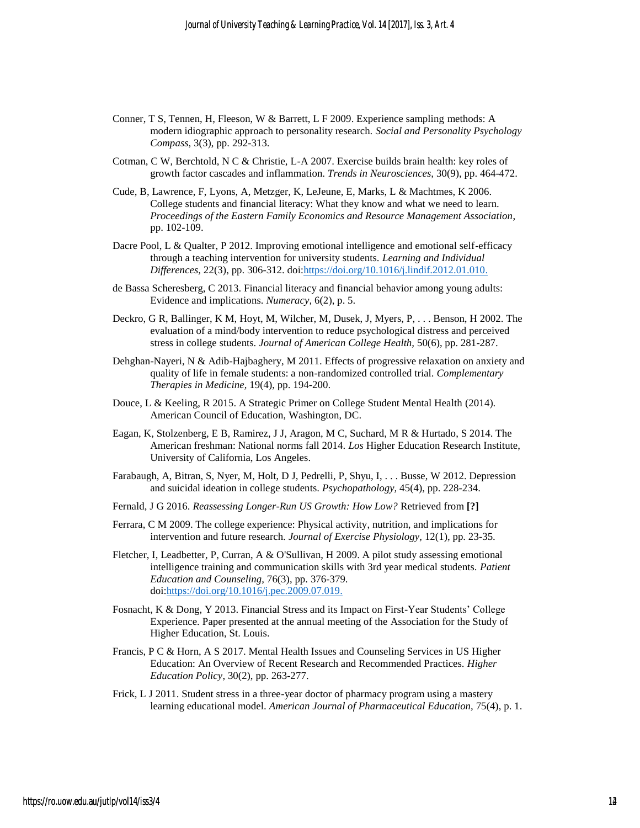- Conner, T S, Tennen, H, Fleeson, W & Barrett, L F 2009. Experience sampling methods: A modern idiographic approach to personality research. *Social and Personality Psychology Compass,* 3(3), pp. 292-313.
- Cotman, C W, Berchtold, N C & Christie, L-A 2007. Exercise builds brain health: key roles of growth factor cascades and inflammation. *Trends in Neurosciences,* 30(9), pp. 464-472.
- Cude, B, Lawrence, F, Lyons, A, Metzger, K, LeJeune, E, Marks, L & Machtmes, K 2006. College students and financial literacy: What they know and what we need to learn. *Proceedings of the Eastern Family Economics and Resource Management Association*, pp. 102-109.
- Dacre Pool, L & Qualter, P 2012. Improving emotional intelligence and emotional self-efficacy through a teaching intervention for university students. *Learning and Individual Differences,* 22(3), pp. 306-312. doi[:https://doi.org/10.1016/j.lindif.2012.01.010.](https://doi.org/10.1016/j.lindif.2012.01.010)
- de Bassa Scheresberg, C 2013. Financial literacy and financial behavior among young adults: Evidence and implications. *Numeracy,* 6(2), p. 5.
- Deckro, G R, Ballinger, K M, Hoyt, M, Wilcher, M, Dusek, J, Myers, P, . . . Benson, H 2002. The evaluation of a mind/body intervention to reduce psychological distress and perceived stress in college students. *Journal of American College Health,* 50(6), pp. 281-287.
- Dehghan-Nayeri, N & Adib-Hajbaghery, M 2011. Effects of progressive relaxation on anxiety and quality of life in female students: a non-randomized controlled trial. *Complementary Therapies in Medicine,* 19(4), pp. 194-200.
- Douce, L & Keeling, R 2015. A Strategic Primer on College Student Mental Health (2014). American Council of Education, Washington, DC.
- Eagan, K, Stolzenberg, E B, Ramirez, J J, Aragon, M C, Suchard, M R & Hurtado, S 2014. The American freshman: National norms fall 2014. *Los* Higher Education Research Institute, University of California, Los Angeles.
- Farabaugh, A, Bitran, S, Nyer, M, Holt, D J, Pedrelli, P, Shyu, I, . . . Busse, W 2012. Depression and suicidal ideation in college students. *Psychopathology,* 45(4), pp. 228-234.
- Fernald, J G 2016. *Reassessing Longer-Run US Growth: How Low?* Retrieved from **[?]**
- Ferrara, C M 2009. The college experience: Physical activity, nutrition, and implications for intervention and future research. *Journal of Exercise Physiology,* 12(1), pp. 23-35.
- Fletcher, I, Leadbetter, P, Curran, A & O'Sullivan, H 2009. A pilot study assessing emotional intelligence training and communication skills with 3rd year medical students. *Patient Education and Counseling,* 76(3), pp. 376-379. doi[:https://doi.org/10.1016/j.pec.2009.07.019.](https://doi.org/10.1016/j.pec.2009.07.019)
- Fosnacht, K & Dong, Y 2013. Financial Stress and its Impact on First-Year Students' College Experience. Paper presented at the annual meeting of the Association for the Study of Higher Education, St. Louis.
- Francis, P C & Horn, A S 2017. Mental Health Issues and Counseling Services in US Higher Education: An Overview of Recent Research and Recommended Practices. *Higher Education Policy*, 30(2), pp. 263-277.
- Frick, L J 2011. Student stress in a three-year doctor of pharmacy program using a mastery learning educational model. *American Journal of Pharmaceutical Education*, 75(4), p. 1.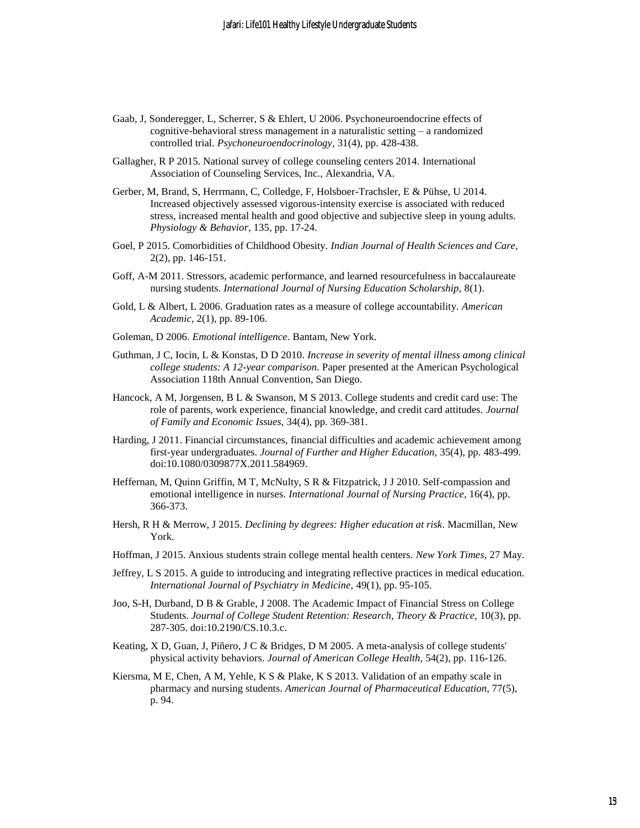- Gaab, J, Sonderegger, L, Scherrer, S & Ehlert, U 2006. Psychoneuroendocrine effects of cognitive-behavioral stress management in a naturalistic setting – a randomized controlled trial. *Psychoneuroendocrinology,* 31(4), pp. 428-438.
- Gallagher, R P 2015. National survey of college counseling centers 2014. International Association of Counseling Services, Inc., Alexandria, VA.
- Gerber, M, Brand, S, Herrmann, C, Colledge, F, Holsboer-Trachsler, E & Pühse, U 2014. Increased objectively assessed vigorous-intensity exercise is associated with reduced stress, increased mental health and good objective and subjective sleep in young adults. *Physiology & Behavior,* 135, pp. 17-24.
- Goel, P 2015. Comorbidities of Childhood Obesity. *Indian Journal of Health Sciences and Care,*  2(2), pp. 146-151.
- Goff, A-M 2011. Stressors, academic performance, and learned resourcefulness in baccalaureate nursing students. *International Journal of Nursing Education Scholarship,* 8(1).
- Gold, L & Albert, L 2006. Graduation rates as a measure of college accountability. *American Academic,* 2(1), pp. 89-106.
- Goleman, D 2006. *Emotional intelligence*. Bantam, New York.
- Guthman, J C, Iocin, L & Konstas, D D 2010. *Increase in severity of mental illness among clinical college students: A 12-year comparison.* Paper presented at the American Psychological Association 118th Annual Convention, San Diego.
- Hancock, A M, Jorgensen, B L & Swanson, M S 2013. College students and credit card use: The role of parents, work experience, financial knowledge, and credit card attitudes. *Journal of Family and Economic Issues,* 34(4), pp. 369-381.
- Harding, J 2011. Financial circumstances, financial difficulties and academic achievement among first-year undergraduates. *Journal of Further and Higher Education,* 35(4), pp. 483-499. doi:10.1080/0309877X.2011.584969.
- Heffernan, M, Quinn Griffin, M T, McNulty, S R & Fitzpatrick, J J 2010. Self-compassion and emotional intelligence in nurses. *International Journal of Nursing Practice,* 16(4), pp. 366-373.
- Hersh, R H & Merrow, J 2015. *Declining by degrees: Higher education at risk*. Macmillan, New York.
- Hoffman, J 2015. Anxious students strain college mental health centers. *New York Times,* 27 May.
- Jeffrey, L S 2015. A guide to introducing and integrating reflective practices in medical education. *International Journal of Psychiatry in Medicine,* 49(1), pp. 95-105.
- Joo, S-H, Durband, D B & Grable, J 2008. The Academic Impact of Financial Stress on College Students. *Journal of College Student Retention: Research, Theory & Practice,* 10(3), pp. 287-305. doi:10.2190/CS.10.3.c.
- Keating, X D, Guan, J, Piñero, J C & Bridges, D M 2005. A meta-analysis of college students' physical activity behaviors. *Journal of American College Health,* 54(2), pp. 116-126.
- Kiersma, M E, Chen, A M, Yehle, K S & Plake, K S 2013. Validation of an empathy scale in pharmacy and nursing students. *American Journal of Pharmaceutical Education,* 77(5), p. 94.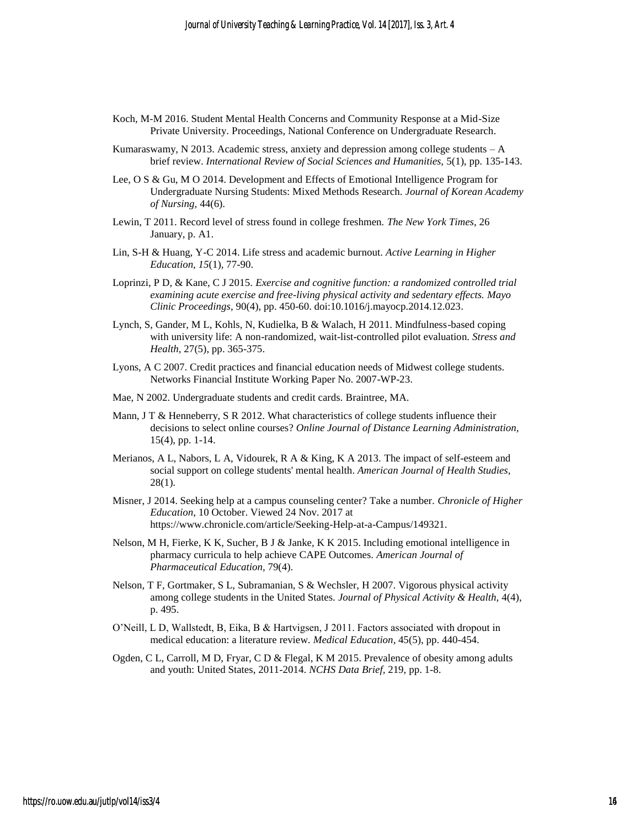- Koch, M-M 2016. Student Mental Health Concerns and Community Response at a Mid-Size Private University. Proceedings, National Conference on Undergraduate Research.
- Kumaraswamy, N 2013. Academic stress, anxiety and depression among college students  $-A$ brief review. *International Review of Social Sciences and Humanities,* 5(1), pp. 135-143.
- Lee, O S & Gu, M O 2014. Development and Effects of Emotional Intelligence Program for Undergraduate Nursing Students: Mixed Methods Research. *Journal of Korean Academy of Nursing,* 44(6).
- Lewin, T 2011. Record level of stress found in college freshmen. *The New York Times*, 26 January, p. A1.
- Lin, S-H & Huang, Y-C 2014. Life stress and academic burnout. *Active Learning in Higher Education, 15*(1), 77-90.
- Loprinzi, P D, & Kane, C J 2015. *Exercise and cognitive function: a randomized controlled trial examining acute exercise and free-living physical activity and sedentary effects. Mayo Clinic Proceedings*, 90(4), pp. 450-60. doi:10.1016/j.mayocp.2014.12.023.
- Lynch, S, Gander, M L, Kohls, N, Kudielka, B & Walach, H 2011. Mindfulness-based coping with university life: A non-randomized, wait-list-controlled pilot evaluation. *Stress and Health,* 27(5), pp. 365-375.
- Lyons, A C 2007. Credit practices and financial education needs of Midwest college students. Networks Financial Institute Working Paper No. 2007-WP-23.
- Mae, N 2002. Undergraduate students and credit cards. Braintree, MA.
- Mann, J T & Henneberry, S R 2012. What characteristics of college students influence their decisions to select online courses? *Online Journal of Distance Learning Administration,*  15(4), pp. 1-14.
- Merianos, A L, Nabors, L A, Vidourek, R A & King, K A 2013. The impact of self-esteem and social support on college students' mental health. *American Journal of Health Studies,*  28(1).
- Misner, J 2014. Seeking help at a campus counseling center? Take a number. *Chronicle of Higher Education*, 10 October. Viewed 24 Nov. 2017 at https://www.chronicle.com/article/Seeking-Help-at-a-Campus/149321.
- Nelson, M H, Fierke, K K, Sucher, B J & Janke, K K 2015. Including emotional intelligence in pharmacy curricula to help achieve CAPE Outcomes. *American Journal of Pharmaceutical Education,* 79(4).
- Nelson, T F, Gortmaker, S L, Subramanian, S & Wechsler, H 2007. Vigorous physical activity among college students in the United States. *Journal of Physical Activity & Health,* 4(4), p. 495.
- O'Neill, L D, Wallstedt, B, Eika, B & Hartvigsen, J 2011. Factors associated with dropout in medical education: a literature review. *Medical Education,* 45(5), pp. 440-454.
- Ogden, C L, Carroll, M D, Fryar, C D & Flegal, K M 2015. Prevalence of obesity among adults and youth: United States, 2011-2014. *NCHS Data Brief,* 219, pp. 1-8.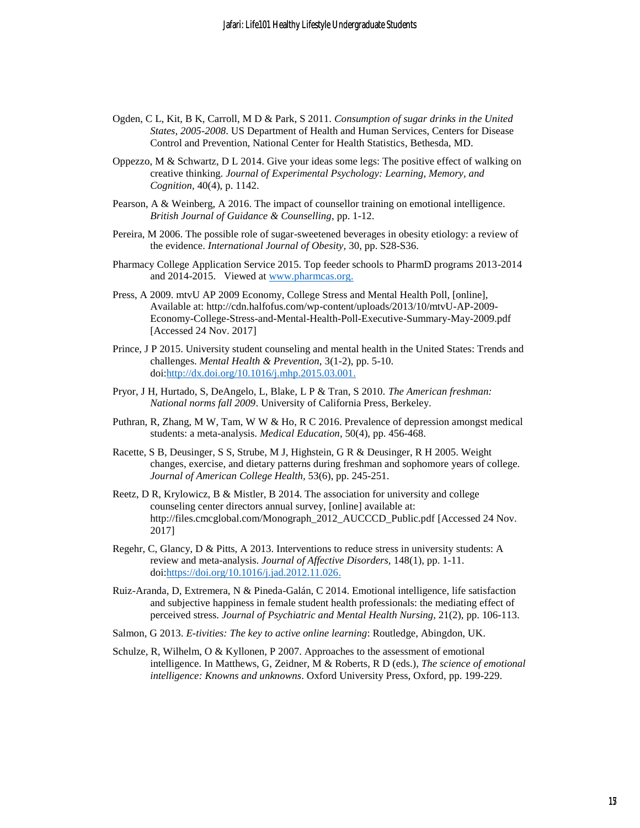- Ogden, C L, Kit, B K, Carroll, M D & Park, S 2011. *Consumption of sugar drinks in the United States, 2005-2008*. US Department of Health and Human Services, Centers for Disease Control and Prevention, National Center for Health Statistics, Bethesda, MD.
- Oppezzo, M & Schwartz, D L 2014. Give your ideas some legs: The positive effect of walking on creative thinking. *Journal of Experimental Psychology: Learning, Memory, and Cognition,* 40(4), p. 1142.
- Pearson, A & Weinberg, A 2016. The impact of counsellor training on emotional intelligence. *British Journal of Guidance & Counselling*, pp. 1-12.
- Pereira, M 2006. The possible role of sugar-sweetened beverages in obesity etiology: a review of the evidence. *International Journal of Obesity,* 30, pp. S28-S36.
- Pharmacy College Application Service 2015. Top feeder schools to PharmD programs 2013-2014 and 2014-2015. Viewed at [www.pharmcas.org.](http://www.pharmcas.org/)
- Press, A 2009. mtvU AP 2009 Economy, College Stress and Mental Health Poll, [online], Available at: http://cdn.halfofus.com/wp-content/uploads/2013/10/mtvU-AP-2009- Economy-College-Stress-and-Mental-Health-Poll-Executive-Summary-May-2009.pdf [Accessed 24 Nov. 2017]
- Prince, J P 2015. University student counseling and mental health in the United States: Trends and challenges. *Mental Health & Prevention,* 3(1-2), pp. 5-10. doi[:http://dx.doi.org/10.1016/j.mhp.2015.03.001.](http://dx.doi.org/10.1016/j.mhp.2015.03.001)
- Pryor, J H, Hurtado, S, DeAngelo, L, Blake, L P & Tran, S 2010. *The American freshman: National norms fall 2009*. University of California Press, Berkeley.
- Puthran, R, Zhang, M W, Tam, W W & Ho, R C 2016. Prevalence of depression amongst medical students: a meta-analysis. *Medical Education,* 50(4), pp. 456-468.
- Racette, S B, Deusinger, S S, Strube, M J, Highstein, G R & Deusinger, R H 2005. Weight changes, exercise, and dietary patterns during freshman and sophomore years of college. *Journal of American College Health,* 53(6), pp. 245-251.
- Reetz, D R, Krylowicz, B & Mistler, B 2014. The association for university and college counseling center directors annual survey, [online] available at: http://files.cmcglobal.com/Monograph\_2012\_AUCCCD\_Public.pdf [Accessed 24 Nov. 2017]
- Regehr, C, Glancy, D & Pitts, A 2013. Interventions to reduce stress in university students: A review and meta-analysis. *Journal of Affective Disorders,* 148(1), pp. 1-11. doi[:https://doi.org/10.1016/j.jad.2012.11.026.](https://doi.org/10.1016/j.jad.2012.11.026)
- Ruiz-Aranda, D, Extremera, N & Pineda-Galán, C 2014. Emotional intelligence, life satisfaction and subjective happiness in female student health professionals: the mediating effect of perceived stress. *Journal of Psychiatric and Mental Health Nursing,* 21(2), pp. 106-113.
- Salmon, G 2013. *E-tivities: The key to active online learning*: Routledge, Abingdon, UK.
- Schulze, R, Wilhelm, O & Kyllonen, P 2007. Approaches to the assessment of emotional intelligence. In Matthews, G, Zeidner, M & Roberts, R D (eds.), *The science of emotional intelligence: Knowns and unknowns*. Oxford University Press, Oxford, pp. 199-229.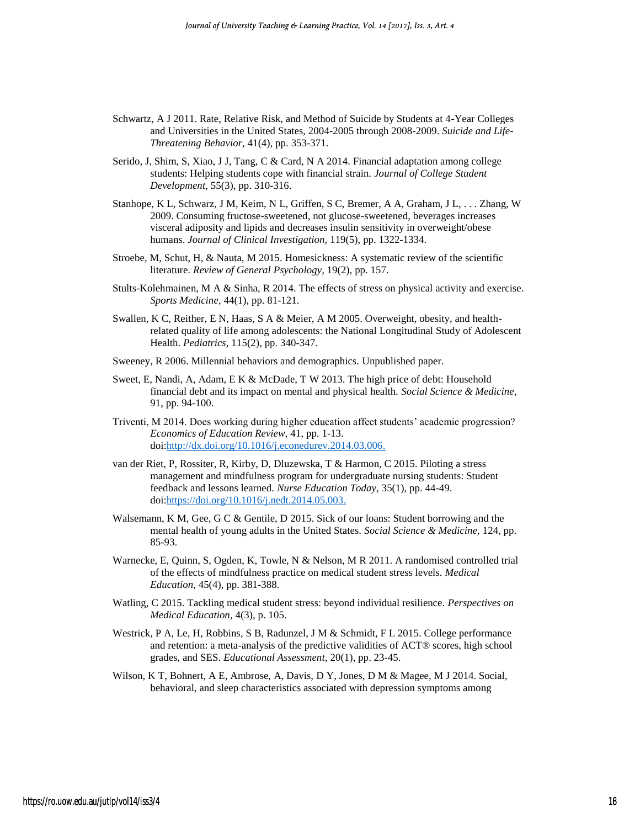- Schwartz, A J 2011. Rate, Relative Risk, and Method of Suicide by Students at 4-Year Colleges and Universities in the United States, 2004-2005 through 2008-2009. *Suicide and Life-Threatening Behavior,* 41(4), pp. 353-371.
- Serido, J, Shim, S, Xiao, J J, Tang, C & Card, N A 2014. Financial adaptation among college students: Helping students cope with financial strain. *Journal of College Student Development,* 55(3), pp. 310-316.
- Stanhope, K L, Schwarz, J M, Keim, N L, Griffen, S C, Bremer, A A, Graham, J L, . . . Zhang, W 2009. Consuming fructose-sweetened, not glucose-sweetened, beverages increases visceral adiposity and lipids and decreases insulin sensitivity in overweight/obese humans. *Journal of Clinical Investigation,* 119(5), pp. 1322-1334.
- Stroebe, M, Schut, H, & Nauta, M 2015. Homesickness: A systematic review of the scientific literature. *Review of General Psychology,* 19(2), pp. 157.
- Stults-Kolehmainen, M A & Sinha, R 2014. The effects of stress on physical activity and exercise. *Sports Medicine,* 44(1), pp. 81-121.
- Swallen, K C, Reither, E N, Haas, S A & Meier, A M 2005. Overweight, obesity, and healthrelated quality of life among adolescents: the National Longitudinal Study of Adolescent Health. *Pediatrics,* 115(2), pp. 340-347.
- Sweeney, R 2006. Millennial behaviors and demographics. Unpublished paper.
- Sweet, E, Nandi, A, Adam, E K & McDade, T W 2013. The high price of debt: Household financial debt and its impact on mental and physical health. *Social Science & Medicine,*  91, pp. 94-100.
- Triventi, M 2014. Does working during higher education affect students' academic progression? *Economics of Education Review,* 41, pp. 1-13. doi[:http://dx.doi.org/10.1016/j.econedurev.2014.03.006.](http://dx.doi.org/10.1016/j.econedurev.2014.03.006)
- van der Riet, P, Rossiter, R, Kirby, D, Dluzewska, T & Harmon, C 2015. Piloting a stress management and mindfulness program for undergraduate nursing students: Student feedback and lessons learned. *Nurse Education Today,* 35(1), pp. 44-49. doi[:https://doi.org/10.1016/j.nedt.2014.05.003.](https://doi.org/10.1016/j.nedt.2014.05.003)
- Walsemann, K M, Gee, G C & Gentile, D 2015. Sick of our loans: Student borrowing and the mental health of young adults in the United States. *Social Science & Medicine,* 124, pp. 85-93.
- Warnecke, E, Quinn, S, Ogden, K, Towle, N & Nelson, M R 2011. A randomised controlled trial of the effects of mindfulness practice on medical student stress levels. *Medical Education,* 45(4), pp. 381-388.
- Watling, C 2015. Tackling medical student stress: beyond individual resilience. *Perspectives on Medical Education,* 4(3), p. 105.
- Westrick, P A, Le, H, Robbins, S B, Radunzel, J M & Schmidt, F L 2015. College performance and retention: a meta-analysis of the predictive validities of ACT® scores, high school grades, and SES. *Educational Assessment,* 20(1), pp. 23-45.
- Wilson, K T, Bohnert, A E, Ambrose, A, Davis, D Y, Jones, D M & Magee, M J 2014. Social, behavioral, and sleep characteristics associated with depression symptoms among